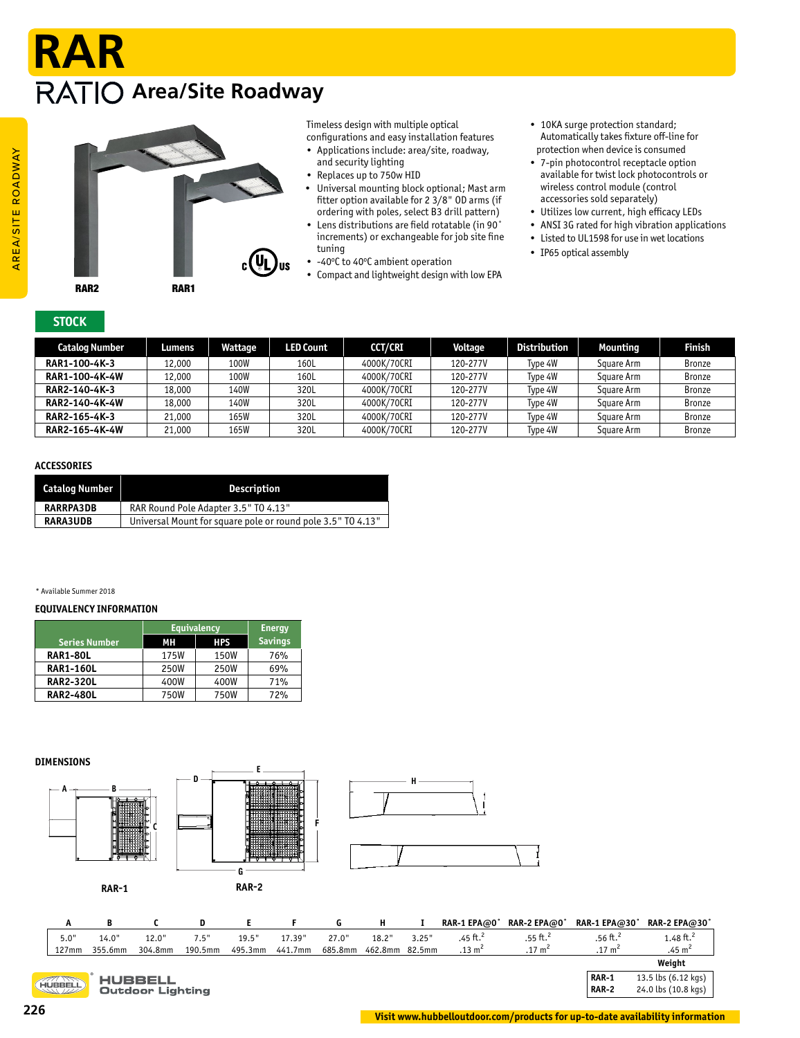# **Area/Site Roadway RAR**



Timeless design with multiple optical configurations and easy installation features

- Applications include: area/site, roadway, and security lighting
- Replaces up to 750w HID
- Universal mounting block optional; Mast arm fitter option available for 2 3/8" OD arms (if ordering with poles, select B3 drill pattern)
- Lens distributions are field rotatable (in 90˚ increments) or exchangeable for job site fine tuning
- -40°C to 40°C ambient operation
- Compact and lightweight design with low EPA
- 10KA surge protection standard; Automatically takes fixture off-line for protection when device is consumed
- 7-pin photocontrol receptacle option available for twist lock photocontrols or wireless control module (control accessories sold separately)
- Utilizes low current, high efficacy LEDs
- ANSI 3G rated for high vibration applications
- Listed to UL1598 for use in wet locations • IP65 optical assembly

**STOCK** 

| Catalog Number | Lumens | Wattage | <b>LED Count</b> | <b>CCT/CRI</b> | Voltage  | <b>Distribution</b> | Mounting   | <b>Finish</b> |
|----------------|--------|---------|------------------|----------------|----------|---------------------|------------|---------------|
| RAR1-100-4K-3  | 12,000 | 100W    | 160L             | 4000K/70CRI    | 120-277V | Type 4W             | Square Arm | <b>Bronze</b> |
| RAR1-100-4K-4W | 12,000 | 100W    | 160L             | 4000K/70CRI    | 120-277V | Type 4W             | Square Arm | <b>Bronze</b> |
| RAR2-140-4K-3  | 18,000 | 140W    | 320L             | 4000K/70CRI    | 120-277V | Type 4W             | Square Arm | <b>Bronze</b> |
| RAR2-140-4K-4W | 18,000 | 140W    | 320L             | 4000K/70CRI    | 120-277V | Type 4W             | Square Arm | <b>Bronze</b> |
| RAR2-165-4K-3  | 21,000 | 165W    | 320L             | 4000K/70CRI    | 120-277V | Type 4W             | Square Arm | <b>Bronze</b> |
| RAR2-165-4K-4W | 21,000 | 165W    | 320L             | 4000K/70CRI    | 120-277V | Type 4W             | Square Arm | <b>Bronze</b> |

# **ACCESSORIES**

| Catalog Number   | <b>Description</b>                                          |
|------------------|-------------------------------------------------------------|
| <b>RARRPA3DB</b> | RAR Round Pole Adapter 3.5" TO 4.13"                        |
| <b>RARA3UDB</b>  | Universal Mount for square pole or round pole 3.5" TO 4.13" |

#### \* Available Summer 2018

### **EQUIVALENCY INFORMATION**

|                  | <b>Equivalency</b> | <b>Energy</b> |                |
|------------------|--------------------|---------------|----------------|
| Series Number    | MН                 | <b>HPS</b>    | <b>Savings</b> |
| <b>RAR1-80L</b>  | 175W               | 150W          | 76%            |
| <b>RAR1-160L</b> | 250W               | 250W          | 69%            |
| <b>RAR2-320L</b> | 400W               | 400W          | 71%            |
| <b>RAR2-480L</b> | 750W               | 750W          | 72%            |



| л.           | .,      |                         |         |         |         |         |                |       | N                    | $M1 - L1 MW$         | $M_{\rm H}$ is a set $\sim$ | $M N L L M \sim 30$   |
|--------------|---------|-------------------------|---------|---------|---------|---------|----------------|-------|----------------------|----------------------|-----------------------------|-----------------------|
| 5.0"         | 14.0"   | 12.0"                   | 7.5"    | 19.5"   | 17.39"  | 27.0"   | 18.2"          | 3.25" | .45 ft. <sup>2</sup> | .55 ft. <sup>2</sup> | .56 ft. <sup>2</sup>        | 1.48 ft. <sup>2</sup> |
| $127$ mm     | 355.6mm | 304.8mm                 | 190.5mm | 495.3mm | 441.7mm | 685.8mm | 462.8mm 82.5mm |       | $.13 \text{ m}^2$    | $.17 \text{ m}^2$    | $.17 \text{ m}^2$           | .45 m <sup>2</sup>    |
|              |         |                         |         |         |         |         |                |       |                      |                      |                             | Weiaht                |
|              |         | <b>HUBBELL</b>          |         |         |         |         |                |       |                      |                      | <b>RAR-1</b>                | 13.5 lbs (6.12 kgs)   |
| <b>BBELL</b> |         | <b>Outdoor Lighting</b> |         |         |         |         |                |       |                      |                      | <b>RAR-2</b>                | 24.0 lbs (10.8 kgs)   |

HUBBELL

**I**